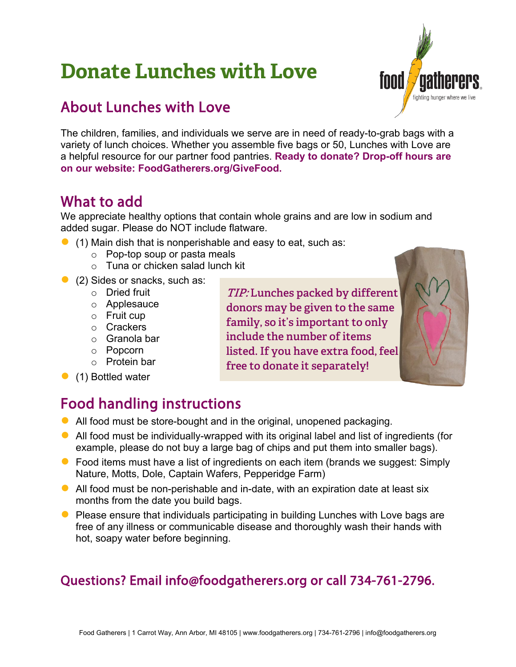# **Donate Lunches with Love**



### About Lunches with Love

The children, families, and individuals we serve are in need of ready-to-grab bags with a variety of lunch choices. Whether you assemble five bags or 50, Lunches with Love are a helpful resource for our partner food pantries. **Ready to donate? Drop-off hours are on our website: FoodGatherers.org/GiveFood.**

### What to add

We appreciate healthy options that contain whole grains and are low in sodium and added sugar. Please do NOT include flatware.

- $\bullet$  (1) Main dish that is nonperishable and easy to eat, such as:
	- o Pop-top soup or pasta meals
	- o Tuna or chicken salad lunch kit
- (2) Sides or snacks, such as:
	- o Dried fruit
	- o Applesauce
	- $\circ$  Fruit cup
	- o Crackers
	- o Granola bar
	- o Popcorn
	- o Protein bar
- (1) Bottled water

**TIP: Lunches packed by different donors may be given to the same family, so it's important to only include the number of items listed. If you have extra food, feel free to donate it separately!**

## Food handling instructions

- All food must be store-bought and in the original, unopened packaging.
- All food must be individually-wrapped with its original label and list of ingredients (for example, please do not buy a large bag of chips and put them into smaller bags).
- Food items must have a list of ingredients on each item (brands we suggest: Simply Nature, Motts, Dole, Captain Wafers, Pepperidge Farm)
- $\bullet$  All food must be non-perishable and in-date, with an expiration date at least six months from the date you build bags.
- Please ensure that individuals participating in building Lunches with Love bags are free of any illness or communicable disease and thoroughly wash their hands with hot, soapy water before beginning.

#### Questions? Email info@foodgatherers.org or call 734-761-2796.